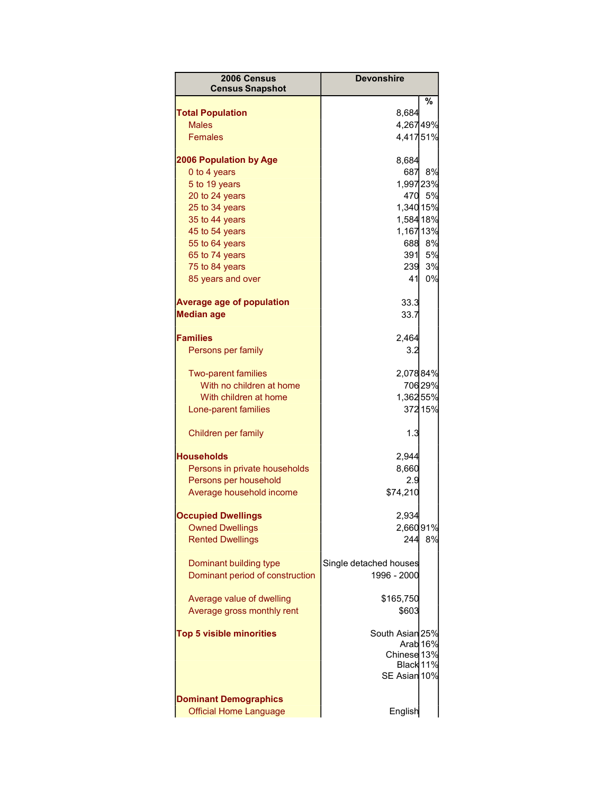| 2006 Census<br><b>Census Snapshot</b>                     | <b>Devonshire</b>                     |                     |
|-----------------------------------------------------------|---------------------------------------|---------------------|
|                                                           |                                       | %                   |
| <b>Total Population</b>                                   | 8,684                                 |                     |
| <b>Males</b>                                              | 4,26749%                              |                     |
| <b>Females</b>                                            | 4,41751%                              |                     |
| <b>2006 Population by Age</b>                             | 8,684                                 |                     |
| 0 to 4 years                                              | 687                                   | 8%                  |
| 5 to 19 years                                             | 1,99723%                              |                     |
| 20 to 24 years                                            | 470                                   | 5%                  |
| 25 to 34 years                                            | 1,340 15%                             |                     |
| 35 to 44 years                                            | 1,584 18%                             |                     |
| 45 to 54 years                                            | 1,167 13%                             |                     |
| 55 to 64 years                                            | 688                                   | 8%                  |
| 65 to 74 years                                            | 391                                   | 5%                  |
| 75 to 84 years                                            | 239                                   | 3%                  |
| 85 years and over                                         | 41                                    | 0%                  |
| <b>Average age of population</b>                          | 33.3                                  |                     |
| <b>Median age</b>                                         | 33.7                                  |                     |
| <b>Families</b>                                           | 2,464                                 |                     |
| Persons per family                                        | 3.2                                   |                     |
| <b>Two-parent families</b>                                | 2,07884%                              |                     |
| With no children at home                                  |                                       | 70629%              |
| With children at home                                     | 1,36255%                              |                     |
| Lone-parent families                                      |                                       | 372 15%             |
| Children per family                                       | 1.3                                   |                     |
| <b>Households</b>                                         | 2,944                                 |                     |
| Persons in private households                             | 8,660                                 |                     |
| Persons per household                                     | 2.9                                   |                     |
| Average household income                                  | \$74,210                              |                     |
| <b>Occupied Dwellings</b>                                 | 2,934                                 |                     |
| <b>Owned Dwellings</b>                                    | 2,66091%                              |                     |
| <b>Rented Dwellings</b>                                   | 244                                   | 8%                  |
| Dominant building type<br>Dominant period of construction | Single detached houses<br>1996 - 2000 |                     |
|                                                           |                                       |                     |
| Average value of dwelling                                 | \$165,750                             |                     |
| Average gross monthly rent                                | \$603                                 |                     |
| <b>Top 5 visible minorities</b>                           | South Asian 25%                       |                     |
|                                                           |                                       | Arab <sub>16%</sub> |
|                                                           | Chinese 13%                           |                     |
|                                                           | Black 11%<br>SE Asian 10%             |                     |
|                                                           |                                       |                     |
| <b>Dominant Demographics</b>                              |                                       |                     |
| <b>Official Home Language</b>                             | English                               |                     |